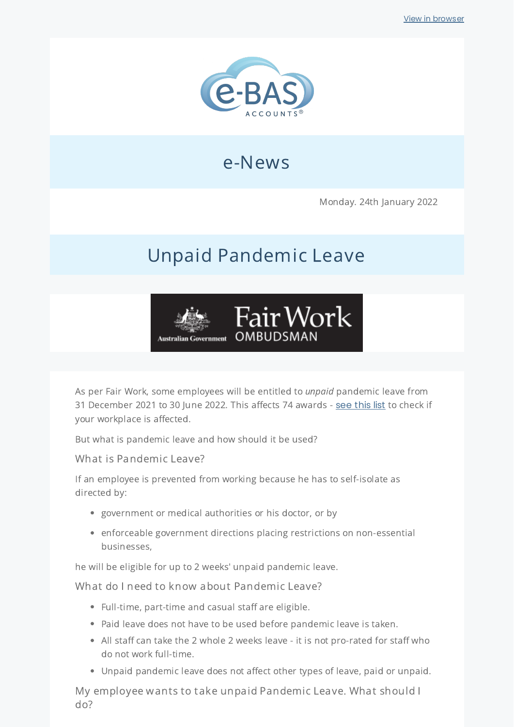

## e-News

Monday. 24th January 2022

# Unpaid Pandemic Leave



As per Fair Work, some employees will be entitled to *unpaid* pandemic leave from 31 December 2021 to 30 June 2022. This affects 74 awards - see [this](https://bit.ly/3tFNgnN) list to check if your workplace is affected.

But what is pandemic leave and how should it be used?

What is Pandemic Leave?

If an employee is prevented from working because he has to self-isolate as directed by:

- government or medical authorities or his doctor, or by
- enforceable government directions placing restrictions on non-essential businesses,

he will be eligible for up to 2 weeks' unpaid pandemic leave.

What do I need to know about Pandemic Leave?

- $\bullet$  Full-time, part-time and casual staff are eligible.
- Paid leave does not have to be used before pandemic leave is taken.
- All staff can take the 2 whole 2 weeks leave it is not pro-rated for staff who do not work full-time.
- Unpaid pandemic leave does not affect other types of leave, paid or unpaid.

My employee wants to take unpaid Pandemic Leave. What should I do?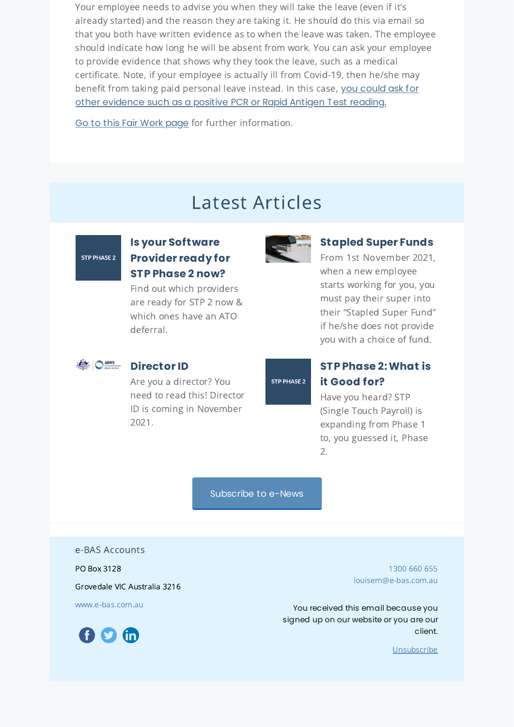Your employee needs to advise you when they will take the leave (even if it's already started) and the reason they are taking it. He should do this via email so that you both have written evidence as to when the leave was taken. The employee should indicate how long he will be absent from work. You can ask your employee to provide evidence that shows why they took the leave, such as a medical certificate. Note, if your employee is actually ill from Covid-19, then he/she may benefit from taking paid personal leave instead. In this case, you could ask for other [evidence](https://www.austpayroll.com.au/if-an-employee-gets-covid-on-annual-leave-can-they-use-sick-leave-instead/) such as a positive PCR or Rapid Antigen Test reading.

Go to this Fair Work [page](https://coronavirus.fairwork.gov.au/coronavirus-and-australian-workplace-laws/pay-leave-and-stand-downs/unpaid-pandemic-leave-annual-leave-changes-in-awards) for further information.

## Latest Articles

**STP PHASE 2** 

### **Is your [Software](https://www.e-bas.com.au/is-your-software-provider-ready-for-stp-phase-2-now/) Provider ready for STP Phase 2 now?**

Find out which providers are ready for STP 2 now & which ones have an ATO deferral.



#### **[Stapled](https://www.e-bas.com.au/stapled-super-funds/) Super Funds**

From 1st November 2021, when a new employee starts working for you, you must pay their super into their "Stapled Super Fund" if he/she does not provide you with a choice of fund.



#### **[Director](https://www.e-bas.com.au/director-id/) ID**

Are you a director? You need to read this! Director ID is coming in November 2021.

#### **STP PHASE 2**

#### **STP Phase [2:What](https://www.e-bas.com.au/stp-phase-2-what-is-it-good-for/) is it Good for?**

Have you heard? STP (Single Touch Payroll) is expanding from Phase 1 to, you guessed it, Phase 2.

[Subscribe](https://landing.mailerlite.com/webforms/landing/v8m1z3) to e-News

e-BAS Accounts

PO Box 3128

Grovedale VIC Australia 3216

[www.e-bas.com.au](https://www.e-bas.com.au/)



[1300](tel:1300 660 655) 660 655 [louisem@e-bas.com.au](mailto:louisem@e-bas.com.au)

You received this email because you signed up on our website or you are our client.

[Unsubscribe](http://localhost:3000/decode_hex/68747470733a2f2f707265766965772e6d61696c65726c6974652e636f6d2f73307137763967306339)